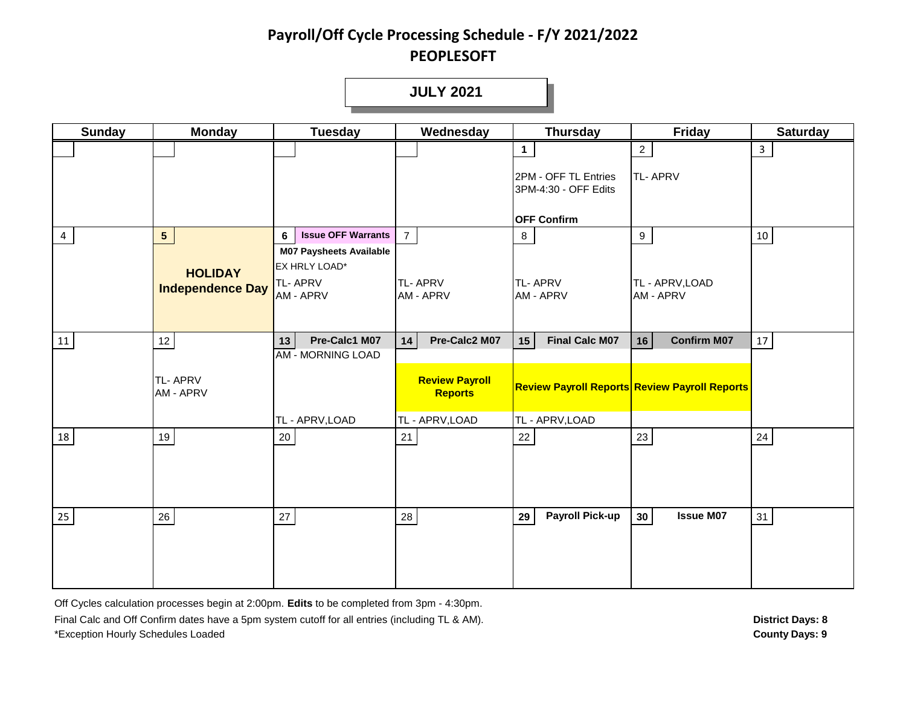**JULY 2021**

| <b>Sunday</b> | <b>Monday</b>               | <b>Tuesday</b>                                  | Wednesday                               | <b>Thursday</b>                              | Friday                                               | <b>Saturday</b> |
|---------------|-----------------------------|-------------------------------------------------|-----------------------------------------|----------------------------------------------|------------------------------------------------------|-----------------|
|               |                             |                                                 |                                         | $\mathbf 1$                                  | $\overline{2}$                                       | $\mathbf{3}$    |
|               |                             |                                                 |                                         | 2PM - OFF TL Entries<br>3PM-4:30 - OFF Edits | <b>TL-APRV</b>                                       |                 |
|               |                             |                                                 |                                         | <b>OFF Confirm</b>                           |                                                      |                 |
| 4             | 5 <sup>1</sup>              | <b>Issue OFF Warrants</b><br>6                  | $\overline{7}$                          | 8 <sub>1</sub>                               | 9                                                    | $10\,$          |
|               | <b>HOLIDAY</b>              | <b>M07 Paysheets Available</b><br>EX HRLY LOAD* |                                         |                                              |                                                      |                 |
|               | <b>Independence Day</b>     | TL-APRV<br>AM - APRV                            | <b>TL-APRV</b><br><b>AM - APRV</b>      | <b>TL-APRV</b><br><b>AM - APRV</b>           | TL - APRV, LOAD<br><b>AM - APRV</b>                  |                 |
|               |                             |                                                 |                                         |                                              |                                                      |                 |
| 11            | 12                          | Pre-Calc1 M07<br>13 <sup>1</sup>                | Pre-Calc2 M07<br>14                     | <b>Final Calc M07</b><br>15                  | <b>Confirm M07</b><br>16                             | 17              |
|               | <b>TL-APRV</b><br>AM - APRV | <b>AM - MORNING LOAD</b>                        | <b>Review Payroll</b><br><b>Reports</b> |                                              | <b>Review Payroll Reports Review Payroll Reports</b> |                 |
|               |                             | TL - APRV, LOAD                                 | TL - APRV, LOAD                         | TL - APRV, LOAD                              |                                                      |                 |
| 18            | 19                          | $20\,$                                          | 21                                      | $22\,$                                       | 23                                                   | $24\,$          |
| 25            | $26\,$                      | 27                                              | 28                                      | <b>Payroll Pick-up</b><br>29                 | 30 <sup>°</sup><br><b>Issue M07</b>                  | 31              |

Off Cycles calculation processes begin at 2:00pm. **Edits** to be completed from 3pm - 4:30pm.

Final Calc and Off Confirm dates have a 5pm system cutoff for all entries (including TL & AM). \*Exception Hourly Schedules Loaded **County Days: 9**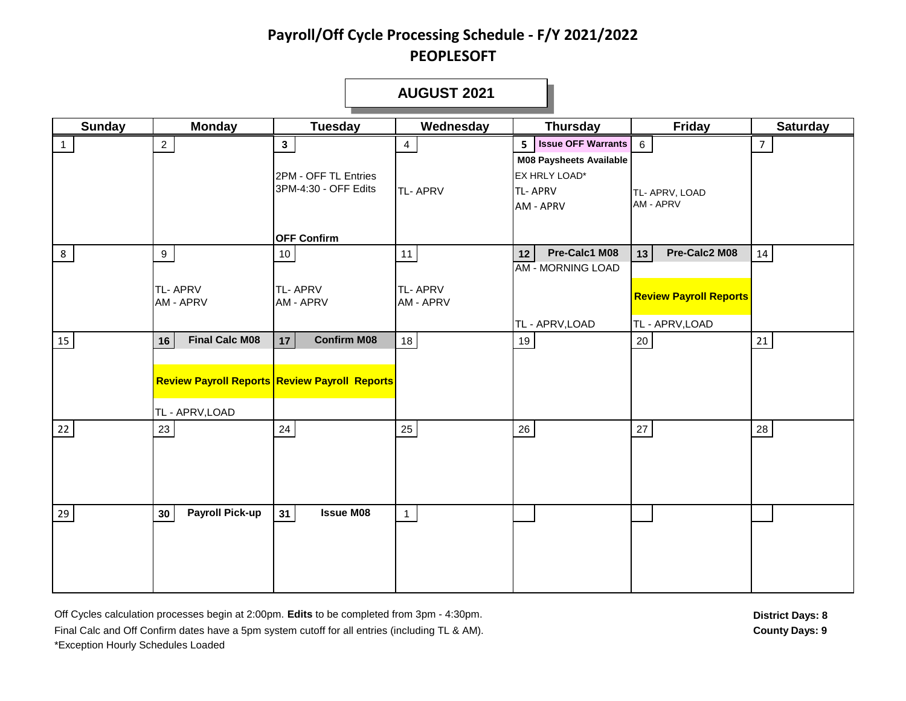|               |                              |                                                                    | <b>AUGUST 2021</b>          |                                                                                       |                                                  |                 |
|---------------|------------------------------|--------------------------------------------------------------------|-----------------------------|---------------------------------------------------------------------------------------|--------------------------------------------------|-----------------|
| <b>Sunday</b> | <b>Monday</b>                | <b>Tuesday</b>                                                     | Wednesday                   | <b>Thursday</b>                                                                       | Friday                                           | <b>Saturday</b> |
| $\mathbf{1}$  | $\overline{2}$               | 3 <sup>1</sup>                                                     | $\overline{4}$              | <b>Issue OFF Warrants</b><br>5 <sup>1</sup>                                           | $6\overline{6}$                                  | 7 <sup>7</sup>  |
|               |                              | 2PM - OFF TL Entries<br>3PM-4:30 - OFF Edits<br><b>OFF Confirm</b> | <b>TL-APRV</b>              | <b>M08 Paysheets Available</b><br>EX HRLY LOAD*<br><b>TL-APRV</b><br><b>AM - APRV</b> | TL- APRV, LOAD<br>AM - APRV                      |                 |
| 8             | 9 <sup>1</sup>               | 10                                                                 | 11                          | Pre-Calc1 M08<br>12                                                                   | Pre-Calc2 M08<br>13                              | 14              |
|               | <b>TL-APRV</b><br>AM - APRV  | TL-APRV<br>AM - APRV                                               | <b>TL-APRV</b><br>AM - APRV | <b>AM - MORNING LOAD</b><br>TL - APRV, LOAD                                           | <b>Review Payroll Reports</b><br>TL - APRV, LOAD |                 |
| 15            | <b>Final Calc M08</b><br>16  | <b>Confirm M08</b><br>17                                           | 18                          | 19                                                                                    | $20\,$                                           | 21              |
|               | TL - APRV, LOAD              | <b>Review Payroll Reports Review Payroll Reports</b>               |                             |                                                                                       |                                                  |                 |
| 22            | 23                           | 24                                                                 | 25                          | 26                                                                                    | $27\,$                                           | 28              |
| 29            | <b>Payroll Pick-up</b><br>30 | 31<br><b>Issue M08</b>                                             | $\mathbf{1}$                |                                                                                       |                                                  |                 |

Off Cycles calculation processes begin at 2:00pm. Edits to be completed from 3pm - 4:30pm. **District Days: 8** District Days: 8 Final Calc and Off Confirm dates have a 5pm system cutoff for all entries (including TL & AM). \*Exception Hourly Schedules Loaded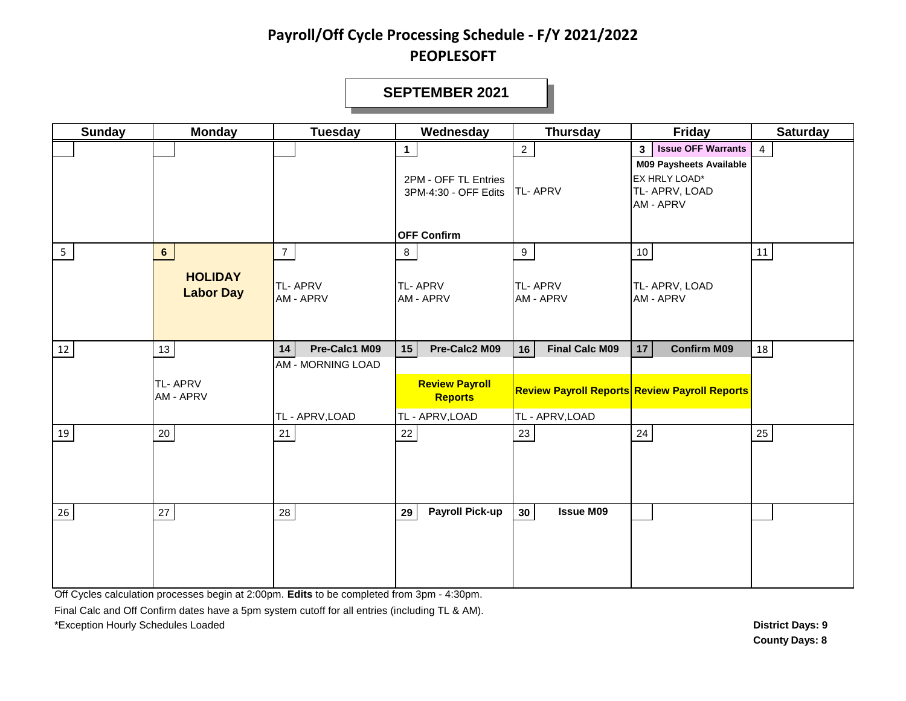#### **SEPTEMBER 2021**

| <b>Sunday</b>  | <b>Monday</b>                      | <b>Tuesday</b>                       | Wednesday                                                    | <b>Thursday</b>                     | <b>Friday</b>                                                                                                                 | <b>Saturday</b> |
|----------------|------------------------------------|--------------------------------------|--------------------------------------------------------------|-------------------------------------|-------------------------------------------------------------------------------------------------------------------------------|-----------------|
|                |                                    |                                      | $\mathbf{1}$<br>2PM - OFF TL Entries<br>3PM-4:30 - OFF Edits | 2 <sup>7</sup><br><b>TL-APRV</b>    | <b>Issue OFF Warrants</b><br>3 <sup>1</sup><br><b>M09 Paysheets Available</b><br>EX HRLY LOAD*<br>TL- APRV, LOAD<br>AM - APRV | $\overline{4}$  |
| 5 <sub>1</sub> | $6\overline{6}$                    | $\overline{7}$                       | <b>OFF Confirm</b><br>8                                      | 9 <sup>1</sup>                      | 10 <sub>1</sub>                                                                                                               | 11              |
|                | <b>HOLIDAY</b><br><b>Labor Day</b> | <b>TL-APRV</b><br>AM - APRV          | <b>TL-APRV</b><br><b>AM - APRV</b>                           | <b>TL-APRV</b><br><b>AM - APRV</b>  | TL- APRV, LOAD<br>AM - APRV                                                                                                   |                 |
| 12             | 13                                 | Pre-Calc1 M09<br>14                  | 15<br>Pre-Calc2 M09                                          | <b>Final Calc M09</b><br>16         | <b>Confirm M09</b><br>17                                                                                                      | 18              |
|                | <b>TL-APRV</b><br>AM - APRV        | AM - MORNING LOAD<br>TL - APRV, LOAD | <b>Review Payroll</b><br><b>Reports</b><br>TL - APRV, LOAD   | TL - APRV, LOAD                     | <b>Review Payroll Reports Review Payroll Reports</b>                                                                          |                 |
| 19             | $20\,$                             | 21                                   | $22\,$                                                       | $23\,$                              | 24                                                                                                                            | 25              |
| 26             | 27                                 | 28                                   | <b>Payroll Pick-up</b><br>29                                 | <b>Issue M09</b><br>30 <sub>o</sub> |                                                                                                                               |                 |

Off Cycles calculation processes begin at 2:00pm. **Edits** to be completed from 3pm - 4:30pm.

Final Calc and Off Confirm dates have a 5pm system cutoff for all entries (including TL & AM).

\*Exception Hourly Schedules Loaded **District Days: 9**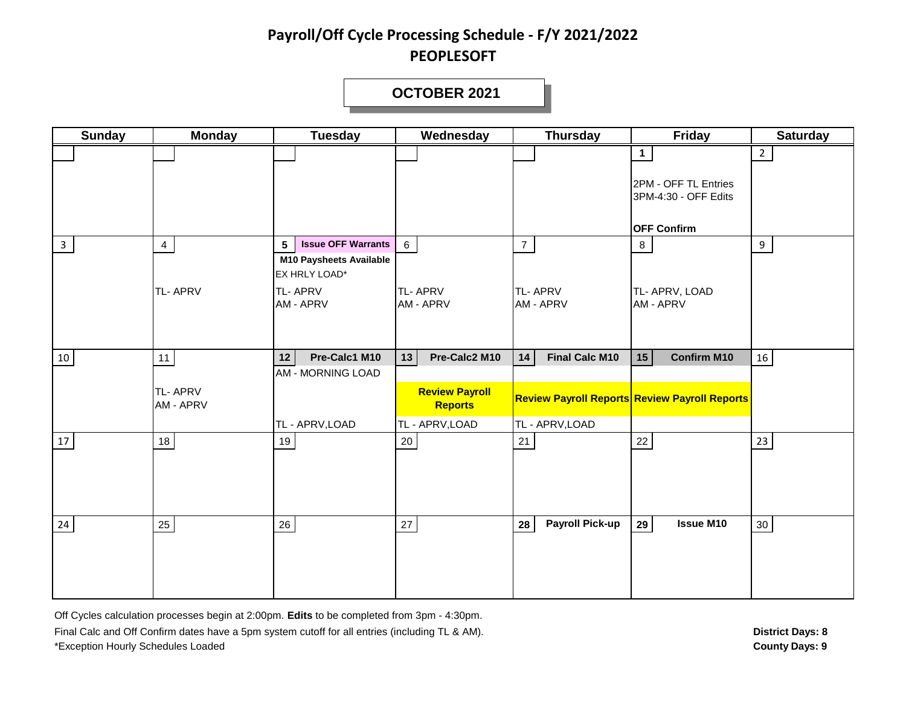#### **OCTOBER 2021**

| <b>Sunday</b> | <b>Monday</b>               | <b>Tuesday</b>                                                                                  | Wednesday                                                  | <b>Thursday</b>                    | <b>Friday</b>                                        | <b>Saturday</b> |
|---------------|-----------------------------|-------------------------------------------------------------------------------------------------|------------------------------------------------------------|------------------------------------|------------------------------------------------------|-----------------|
|               |                             |                                                                                                 |                                                            |                                    | $\mathbf{1}$                                         | $\overline{2}$  |
|               |                             |                                                                                                 |                                                            |                                    | 2PM - OFF TL Entries<br>3PM-4:30 - OFF Edits         |                 |
|               |                             |                                                                                                 |                                                            |                                    | <b>OFF Confirm</b>                                   |                 |
| $\mathbf{3}$  | $\overline{4}$              | <b>Issue OFF Warrants</b><br>$5\phantom{.0}$<br><b>M10 Paysheets Available</b><br>EX HRLY LOAD* | $6\overline{6}$                                            | $7\overline{ }$                    | 8                                                    | 9               |
|               | <b>TL-APRV</b>              | <b>TL-APRV</b><br>AM - APRV                                                                     | <b>TL-APRV</b><br><b>AM - APRV</b>                         | <b>TL-APRV</b><br><b>AM - APRV</b> | TL- APRV, LOAD<br>AM - APRV                          |                 |
| 10            | 11                          | Pre-Calc1 M10<br>12                                                                             | Pre-Calc2 M10<br>13                                        | 14<br><b>Final Calc M10</b>        | 15<br><b>Confirm M10</b>                             | 16              |
|               | <b>TL-APRV</b><br>AM - APRV | AM - MORNING LOAD<br>TL - APRV, LOAD                                                            | <b>Review Payroll</b><br><b>Reports</b><br>TL - APRV, LOAD | TL - APRV, LOAD                    | <b>Review Payroll Reports Review Payroll Reports</b> |                 |
| $17\,$        | $18\,$                      | 19                                                                                              | 20                                                         | 21                                 | 22                                                   | 23              |
|               |                             |                                                                                                 |                                                            |                                    |                                                      |                 |
| 24            | 25                          | $26\,$                                                                                          | 27                                                         | <b>Payroll Pick-up</b><br>28       | <b>Issue M10</b><br>29                               | $30\,$          |
|               |                             |                                                                                                 |                                                            |                                    |                                                      |                 |

Off Cycles calculation processes begin at 2:00pm. **Edits** to be completed from 3pm - 4:30pm. Final Calc and Off Confirm dates have a 5pm system cutoff for all entries (including TL & AM). **District Days: 8** District Days: 8 \*Exception Hourly Schedules Loaded **County Days: 9**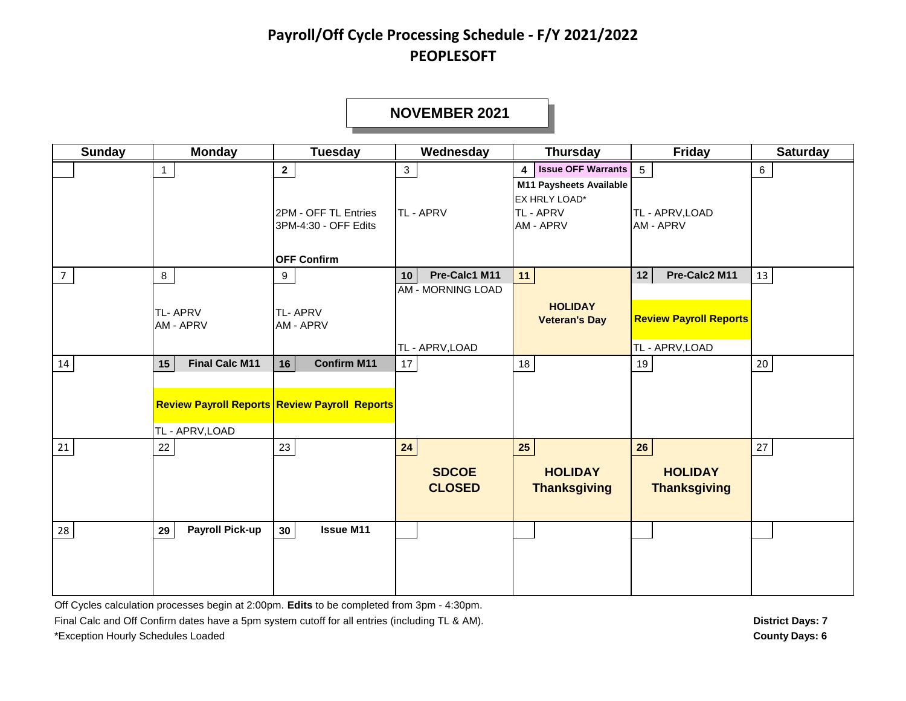#### **NOVEMBER 2021**

| <b>Sunday</b>  | <b>Monday</b>                                  | <b>Tuesday</b>                                                                     | Wednesday                                                          | <b>Thursday</b>                                                                                   | <b>Friday</b>                                                           | <b>Saturday</b> |
|----------------|------------------------------------------------|------------------------------------------------------------------------------------|--------------------------------------------------------------------|---------------------------------------------------------------------------------------------------|-------------------------------------------------------------------------|-----------------|
|                | $\mathbf{1}$                                   | $\mathbf{2}$<br>2PM - OFF TL Entries<br>3PM-4:30 - OFF Edits<br><b>OFF Confirm</b> | $\mathbf{3}$<br>TL - APRV                                          | 4 Issue OFF Warrants<br>M11 Paysheets Available<br>EX HRLY LOAD*<br>TL - APRV<br><b>AM - APRV</b> | $5\overline{)}$<br>TL - APRV, LOAD<br><b>AM - APRV</b>                  | 6               |
| $\overline{7}$ | 8<br><b>TL-APRV</b><br>AM - APRV               | 9<br><b>TL-APRV</b><br>AM - APRV                                                   | Pre-Calc1 M11<br>10<br><b>AM - MORNING LOAD</b><br>TL - APRV, LOAD | 11<br><b>HOLIDAY</b><br><b>Veteran's Day</b>                                                      | Pre-Calc2 M11<br>12<br><b>Review Payroll Reports</b><br>TL - APRV, LOAD | 13              |
| 14             | <b>Final Calc M11</b><br>15<br>TL - APRV, LOAD | 16<br><b>Confirm M11</b><br><b>Review Payroll Reports Review Payroll Reports</b>   | 17                                                                 | 18                                                                                                | 19                                                                      | $20\,$          |
| 21             | 22                                             | 23                                                                                 | 24<br><b>SDCOE</b><br><b>CLOSED</b>                                | 25<br><b>HOLIDAY</b><br><b>Thanksgiving</b>                                                       | 26<br><b>HOLIDAY</b><br><b>Thanksgiving</b>                             | 27              |
| 28             | <b>Payroll Pick-up</b><br>29                   | <b>Issue M11</b><br>30 <sup>°</sup>                                                |                                                                    |                                                                                                   |                                                                         |                 |

Off Cycles calculation processes begin at 2:00pm. **Edits** to be completed from 3pm - 4:30pm.

Final Calc and Off Confirm dates have a 5pm system cutoff for all entries (including TL & AM). **District Days: 7 District Days: 7** \*Exception Hourly Schedules Loaded **County Days: 6**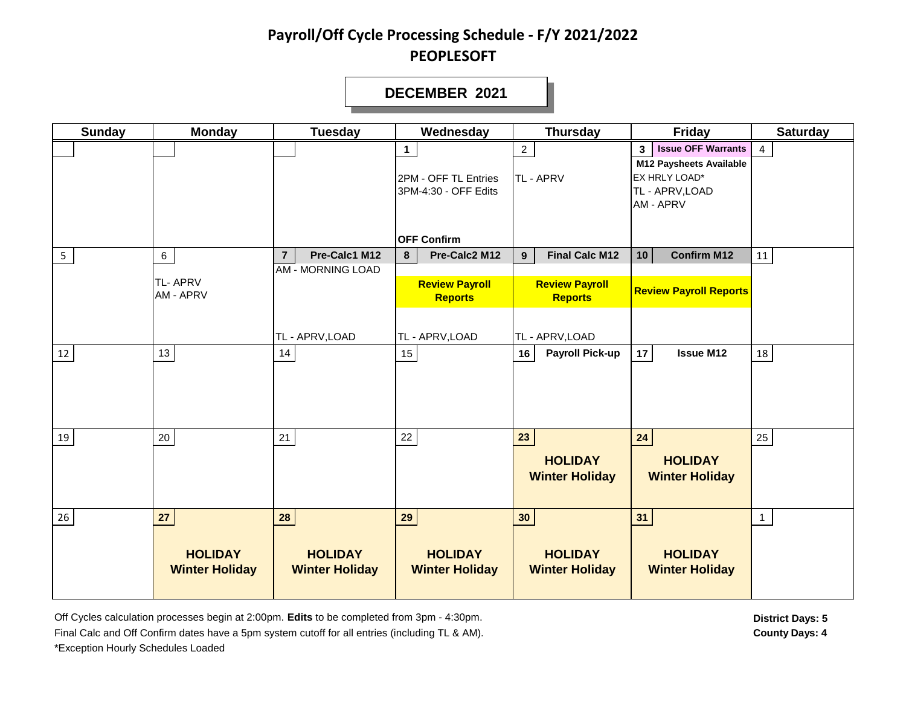#### **DECEMBER 2021**

| <b>Sunday</b>  | <b>Monday</b>                           | <b>Tuesday</b>                          | Wednesday                                                    | <b>Thursday</b>                               | Friday                                                                                                                                | <b>Saturday</b> |
|----------------|-----------------------------------------|-----------------------------------------|--------------------------------------------------------------|-----------------------------------------------|---------------------------------------------------------------------------------------------------------------------------------------|-----------------|
|                |                                         |                                         | $\mathbf{1}$<br>2PM - OFF TL Entries<br>3PM-4:30 - OFF Edits | $\overline{2}$<br><b>TL-APRV</b>              | <b>Issue OFF Warrants</b><br>3 <sup>1</sup><br><b>M12 Paysheets Available</b><br>EX HRLY LOAD*<br>TL - APRV, LOAD<br><b>AM - APRV</b> | 4               |
|                |                                         |                                         | <b>OFF Confirm</b>                                           |                                               |                                                                                                                                       |                 |
| 5 <sub>1</sub> | $6\overline{6}$                         | Pre-Calc1 M12<br>$\overline{7}$         | Pre-Calc2 M12<br>8                                           | <b>Final Calc M12</b><br>9                    | 10<br><b>Confirm M12</b>                                                                                                              | 11              |
|                | <b>TL-APRV</b><br>AM - APRV             | <b>AM - MORNING LOAD</b>                | <b>Review Payroll</b><br><b>Reports</b>                      | <b>Review Payroll</b><br><b>Reports</b>       | <b>Review Payroll Reports</b>                                                                                                         |                 |
|                |                                         | TL - APRV, LOAD                         | TL - APRV, LOAD                                              | TL - APRV, LOAD                               |                                                                                                                                       |                 |
| 12             | 13                                      | 14                                      | 15                                                           | <b>Payroll Pick-up</b><br>16                  | <b>Issue M12</b><br>17                                                                                                                | 18              |
| 19             | 20                                      | 21                                      | 22                                                           | 23<br><b>HOLIDAY</b><br><b>Winter Holiday</b> | 24<br><b>HOLIDAY</b><br><b>Winter Holiday</b>                                                                                         | 25              |
| 26             | 27                                      | 28                                      | 29                                                           | 30 <sub>o</sub>                               | 31                                                                                                                                    | $\mathbf{1}$    |
|                | <b>HOLIDAY</b><br><b>Winter Holiday</b> | <b>HOLIDAY</b><br><b>Winter Holiday</b> | <b>HOLIDAY</b><br><b>Winter Holiday</b>                      | <b>HOLIDAY</b><br><b>Winter Holiday</b>       | <b>HOLIDAY</b><br><b>Winter Holiday</b>                                                                                               |                 |

Off Cycles calculation processes begin at 2:00pm. Edits to be completed from 3pm - 4:30pm. **District Days: 5** District Days: 5 Final Calc and Off Confirm dates have a 5pm system cutoff for all entries (including TL & AM). **County Days: 4** \*Exception Hourly Schedules Loaded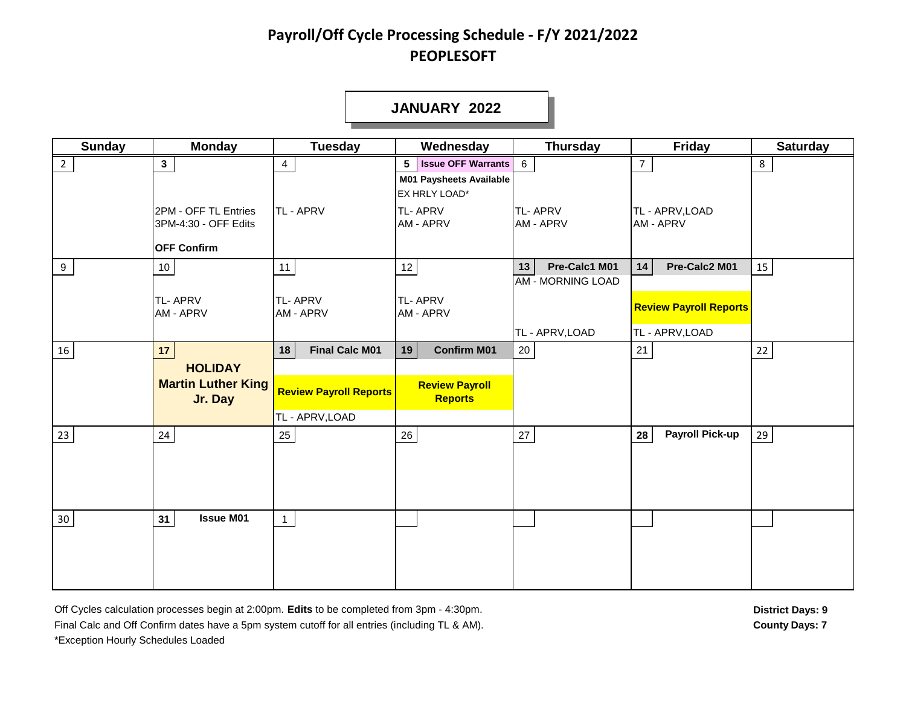#### **JANUARY 2022**

| <b>Sunday</b>   | <b>Monday</b>                                                      | <b>Tuesday</b>                                   | Wednesday                                                                                        | <b>Thursday</b>                                 | <b>Friday</b>                                    | <b>Saturday</b> |
|-----------------|--------------------------------------------------------------------|--------------------------------------------------|--------------------------------------------------------------------------------------------------|-------------------------------------------------|--------------------------------------------------|-----------------|
| $\overline{2}$  | 3 <sup>1</sup>                                                     | 4                                                | <b>Issue OFF Warrants</b> 6<br>5 <sup>5</sup><br><b>M01 Paysheets Available</b><br>EX HRLY LOAD* |                                                 | $\overline{7}$                                   | 8               |
|                 | 2PM - OFF TL Entries<br>3PM-4:30 - OFF Edits<br><b>OFF Confirm</b> | <b>TL-APRV</b>                                   | TL-APRV<br>AM - APRV                                                                             | <b>TL-APRV</b><br><b>AM - APRV</b>              | TL - APRV, LOAD<br>AM - APRV                     |                 |
| 9               | 10 <sub>1</sub>                                                    | 11                                               | 12                                                                                               | Pre-Calc1 M01<br>13<br><b>AM - MORNING LOAD</b> | Pre-Calc2 M01<br>14                              | 15              |
|                 | <b>TL-APRV</b><br>AM - APRV                                        | <b>TL-APRV</b><br>AM - APRV                      | TL-APRV<br>AM - APRV                                                                             | TL - APRV, LOAD                                 | <b>Review Payroll Reports</b><br>TL - APRV, LOAD |                 |
| 16              | 17                                                                 | <b>Final Calc M01</b><br>18                      | 19<br><b>Confirm M01</b>                                                                         | 20                                              | 21                                               | $22\,$          |
|                 | <b>HOLIDAY</b><br><b>Martin Luther King</b><br>Jr. Day             | <b>Review Payroll Reports</b><br>TL - APRV, LOAD | <b>Review Payroll</b><br><b>Reports</b>                                                          |                                                 |                                                  |                 |
| 23              | 24                                                                 | 25                                               | 26                                                                                               | 27                                              | <b>Payroll Pick-up</b><br>28                     | 29              |
| 30 <sup>°</sup> | <b>Issue M01</b><br>31                                             | $\mathbf{1}$                                     |                                                                                                  |                                                 |                                                  |                 |

Off Cycles calculation processes begin at 2:00pm. Edits to be completed from 3pm - 4:30pm. **District Days: 9** District Days: 9 Final Calc and Off Confirm dates have a 5pm system cutoff for all entries (including TL & AM). \*Exception Hourly Schedules Loaded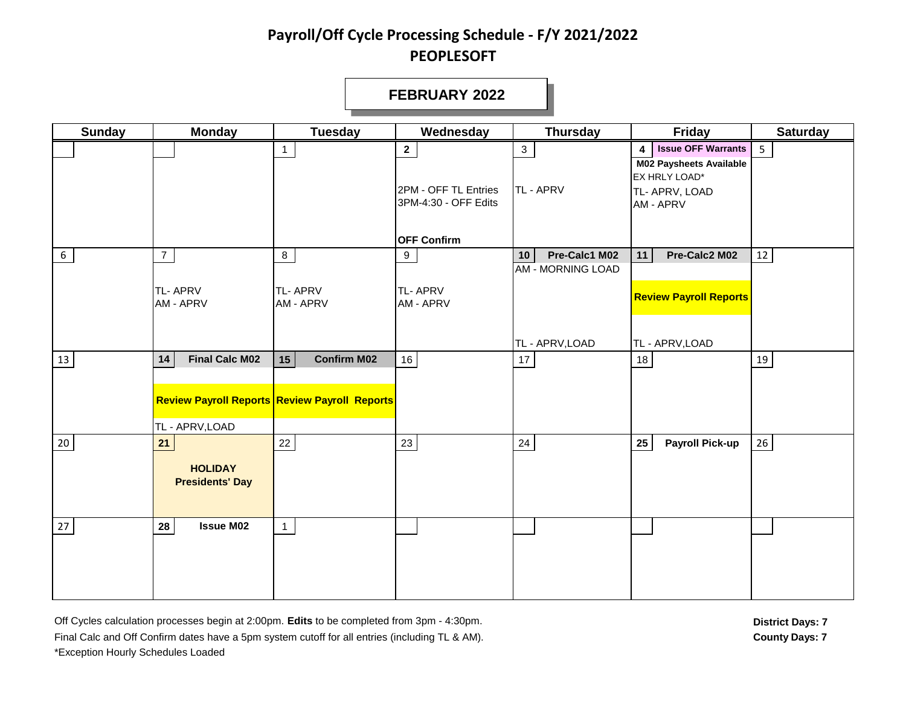#### **FEBRUARY 2022**

| <b>Sunday</b> | <b>Monday</b>                                  | <b>Tuesday</b>                                                                   | Wednesday                                                               | <b>Thursday</b>                                                                 | Friday                                                                                                    | <b>Saturday</b> |
|---------------|------------------------------------------------|----------------------------------------------------------------------------------|-------------------------------------------------------------------------|---------------------------------------------------------------------------------|-----------------------------------------------------------------------------------------------------------|-----------------|
|               |                                                |                                                                                  | $\overline{\mathbf{2}}$<br>2PM - OFF TL Entries<br>3PM-4:30 - OFF Edits | 3 <sup>7</sup><br>TL - APRV                                                     | <b>Issue OFF Warrants</b><br>4<br>M02 Paysheets Available<br>EX HRLY LOAD*<br>TL- APRV, LOAD<br>AM - APRV | 5 <sup>1</sup>  |
| 6             | $\overline{7}$<br>TL-APRV<br>AM - APRV         | 8<br><b>TL-APRV</b><br>AM - APRV                                                 | <b>OFF Confirm</b><br>9<br><b>TL-APRV</b><br>AM - APRV                  | Pre-Calc1 M02<br>10 <sup>1</sup><br><b>AM - MORNING LOAD</b><br>TL - APRV, LOAD | Pre-Calc2 M02<br>11<br><b>Review Payroll Reports</b><br>TL - APRV, LOAD                                   | 12              |
| 13            | <b>Final Calc M02</b><br>14<br>TL - APRV, LOAD | <b>Confirm M02</b><br>15<br><b>Review Payroll Reports Review Payroll Reports</b> | 16                                                                      | 17                                                                              | $18\,$                                                                                                    | 19              |
| $20\,$        | 21<br><b>HOLIDAY</b><br><b>Presidents' Day</b> | 22                                                                               | 23                                                                      | 24                                                                              | 25<br><b>Payroll Pick-up</b>                                                                              | 26              |
| 27            | <b>Issue M02</b><br>28                         |                                                                                  |                                                                         |                                                                                 |                                                                                                           |                 |

Off Cycles calculation processes begin at 2:00pm. Edits to be completed from 3pm - 4:30pm. **District Days: 7** District Days: 7 Final Calc and Off Confirm dates have a 5pm system cutoff for all entries (including TL & AM). **County Days: 7** County Days: 7 \*Exception Hourly Schedules Loaded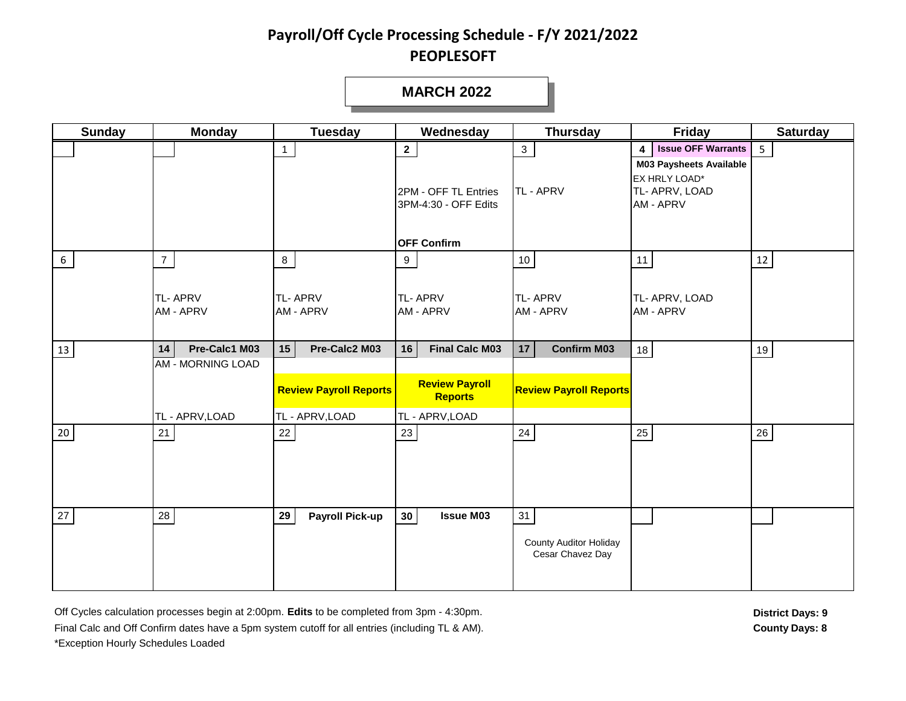#### **MARCH 2022**

| <b>Sunday</b> | <b>Monday</b>                                                      | <b>Tuesday</b>                                                          | Wednesday                                                                                 | <b>Thursday</b>                                           | <b>Friday</b>                                                                                                                 | <b>Saturday</b> |
|---------------|--------------------------------------------------------------------|-------------------------------------------------------------------------|-------------------------------------------------------------------------------------------|-----------------------------------------------------------|-------------------------------------------------------------------------------------------------------------------------------|-----------------|
|               |                                                                    | $\mathbf{1}$                                                            | $\mathbf{2}$<br>2PM - OFF TL Entries<br>3PM-4:30 - OFF Edits<br><b>OFF Confirm</b>        | 3 <sup>7</sup><br><b>TL-APRV</b>                          | <b>Issue OFF Warrants</b><br>$\overline{4}$<br><b>M03 Paysheets Available</b><br>EX HRLY LOAD*<br>TL- APRV, LOAD<br>AM - APRV | 5 <sub>5</sub>  |
| 6             | $\overline{7}$<br><b>TL-APRV</b><br>AM - APRV                      | 8<br><b>TL-APRV</b><br>AM - APRV                                        | 9<br><b>TL-APRV</b><br><b>AM - APRV</b>                                                   | 10 <sup>°</sup><br><b>TL-APRV</b><br>AM - APRV            | 11<br>TL- APRV, LOAD<br>AM - APRV                                                                                             | 12              |
| 13            | Pre-Calc1 M03<br>14<br><b>AM - MORNING LOAD</b><br>TL - APRV, LOAD | 15<br>Pre-Calc2 M03<br><b>Review Payroll Reports</b><br>TL - APRV, LOAD | <b>Final Calc M03</b><br>16<br><b>Review Payroll</b><br><b>Reports</b><br>TL - APRV, LOAD | 17<br><b>Confirm M03</b><br><b>Review Payroll Reports</b> | 18                                                                                                                            | 19              |
| $20\,$        | 21                                                                 | 22                                                                      | 23                                                                                        | 24                                                        | 25                                                                                                                            | 26              |
| 27            | ${\bf 28}$                                                         | 29<br><b>Payroll Pick-up</b>                                            | 30 <sup>°</sup><br><b>Issue M03</b>                                                       | 31<br><b>County Auditor Holiday</b><br>Cesar Chavez Day   |                                                                                                                               |                 |

Off Cycles calculation processes begin at 2:00pm. Edits to be completed from 3pm - 4:30pm. **District Days: 9** District Days: 9 Final Calc and Off Confirm dates have a 5pm system cutoff for all entries (including TL & AM). **County Days: 8** \*Exception Hourly Schedules Loaded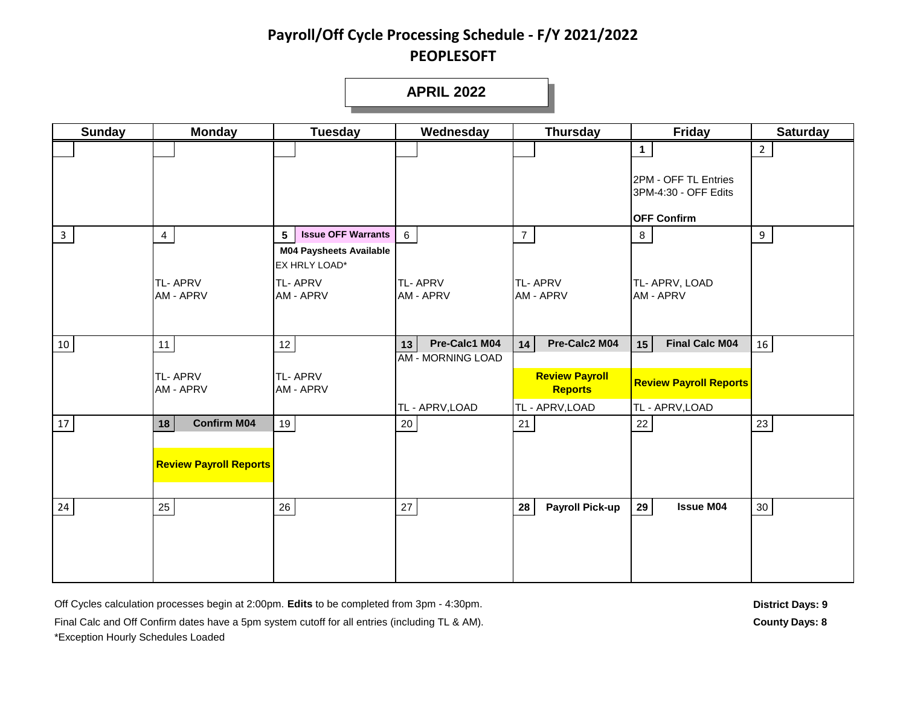**APRIL 2022**

| <b>Sunday</b> | <b>Monday</b>                 | <b>Tuesday</b>                                                   | Wednesday                                       | <b>Thursday</b>              | <b>Friday</b>                                | <b>Saturday</b> |
|---------------|-------------------------------|------------------------------------------------------------------|-------------------------------------------------|------------------------------|----------------------------------------------|-----------------|
|               |                               |                                                                  |                                                 |                              | $\mathbf{1}$                                 | $\overline{2}$  |
|               |                               |                                                                  |                                                 |                              |                                              |                 |
|               |                               |                                                                  |                                                 |                              | 2PM - OFF TL Entries<br>3PM-4:30 - OFF Edits |                 |
|               |                               |                                                                  |                                                 |                              |                                              |                 |
|               |                               |                                                                  |                                                 |                              | <b>OFF Confirm</b>                           |                 |
| $\mathbf{3}$  | $\overline{4}$                | <b>Issue OFF Warrants</b><br>5<br><b>M04 Paysheets Available</b> | 6                                               | 7 <sup>7</sup>               | $8\phantom{.}$                               | 9               |
|               |                               | EX HRLY LOAD*                                                    |                                                 |                              |                                              |                 |
|               | <b>TL-APRV</b>                | TL-APRV                                                          | <b>TL-APRV</b>                                  | <b>TL-APRV</b>               | TL- APRV, LOAD                               |                 |
|               | <b>AM - APRV</b>              | AM - APRV                                                        | <b>AM - APRV</b>                                | <b>AM - APRV</b>             | AM - APRV                                    |                 |
|               |                               |                                                                  |                                                 |                              |                                              |                 |
|               |                               |                                                                  |                                                 |                              |                                              |                 |
| 10            | 11                            | $12$                                                             | Pre-Calc1 M04<br>13<br><b>AM - MORNING LOAD</b> | Pre-Calc2 M04<br>14          | <b>Final Calc M04</b><br>15                  | 16              |
|               | <b>TL-APRV</b>                | TL-APRV                                                          |                                                 | <b>Review Payroll</b>        |                                              |                 |
|               | <b>AM - APRV</b>              | AM - APRV                                                        |                                                 | <b>Reports</b>               | <b>Review Payroll Reports</b>                |                 |
|               |                               |                                                                  | TL - APRV, LOAD                                 | TL - APRV, LOAD              | TL - APRV, LOAD                              |                 |
| 17            | <b>Confirm M04</b><br>18      | 19                                                               | 20                                              | 21                           | 22                                           | 23              |
|               |                               |                                                                  |                                                 |                              |                                              |                 |
|               | <b>Review Payroll Reports</b> |                                                                  |                                                 |                              |                                              |                 |
|               |                               |                                                                  |                                                 |                              |                                              |                 |
| 24            | 25                            | $26\,$                                                           | 27                                              | 28<br><b>Payroll Pick-up</b> | <b>Issue M04</b><br>29                       | 30 <sub>o</sub> |
|               |                               |                                                                  |                                                 |                              |                                              |                 |
|               |                               |                                                                  |                                                 |                              |                                              |                 |
|               |                               |                                                                  |                                                 |                              |                                              |                 |
|               |                               |                                                                  |                                                 |                              |                                              |                 |

Off Cycles calculation processes begin at 2:00pm. Edits to be completed from 3pm - 4:30pm. **District Days: 9** District Days: 9

Final Calc and Off Confirm dates have a 5pm system cutoff for all entries (including TL & AM). **County Days: 8** County Days: 8 \*Exception Hourly Schedules Loaded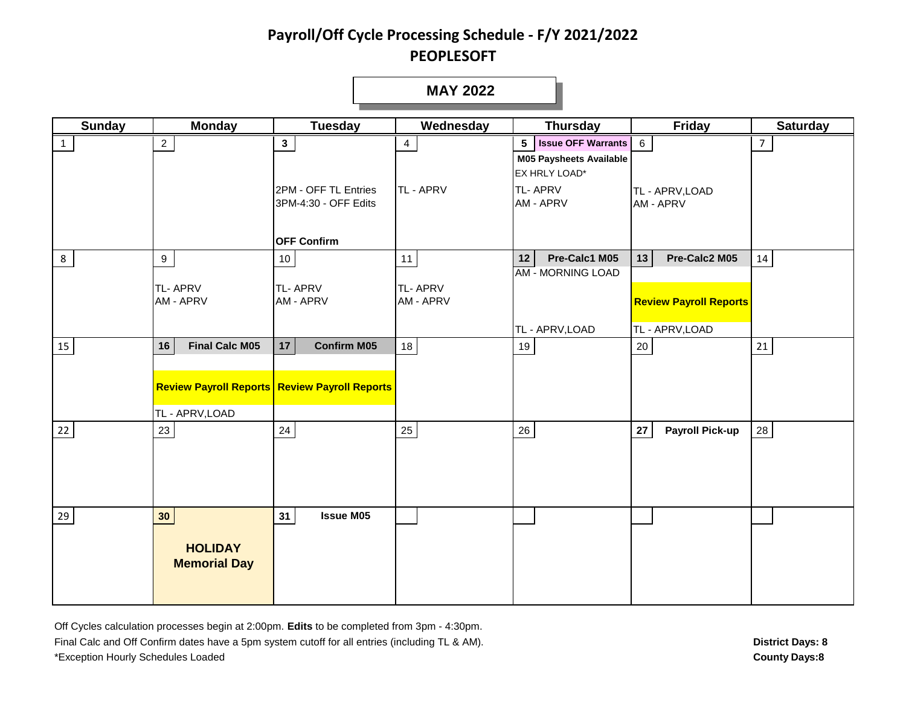#### **MAY 2022**

| <b>Sunday</b> | <b>Monday</b>                         | <b>Tuesday</b>                                       | Wednesday                   | <b>Thursday</b>                                        | Friday                              | <b>Saturday</b> |
|---------------|---------------------------------------|------------------------------------------------------|-----------------------------|--------------------------------------------------------|-------------------------------------|-----------------|
| $\mathbf{1}$  | $\overline{2}$                        | $\mathbf{3}$                                         | $\overline{4}$              | 5 Issue OFF Warrants<br><b>M05 Paysheets Available</b> | $6\phantom{.}6$                     | $\overline{7}$  |
|               |                                       |                                                      |                             | EX HRLY LOAD*                                          |                                     |                 |
|               |                                       | 2PM - OFF TL Entries<br>3PM-4:30 - OFF Edits         | TL - APRV                   | <b>TL-APRV</b><br><b>AM - APRV</b>                     | TL - APRV, LOAD<br><b>AM - APRV</b> |                 |
|               |                                       | <b>OFF Confirm</b>                                   |                             |                                                        |                                     |                 |
| 8             | 9                                     | 10                                                   | 11                          | Pre-Calc1 M05<br>12<br><b>AM - MORNING LOAD</b>        | Pre-Calc2 M05<br>13                 | 14              |
|               | TL-APRV<br>AM - APRV                  | <b>TL-APRV</b><br>AM - APRV                          | <b>TL-APRV</b><br>AM - APRV |                                                        | <b>Review Payroll Reports</b>       |                 |
|               |                                       |                                                      |                             | TL - APRV, LOAD                                        | TL - APRV, LOAD                     |                 |
| 15            | <b>Final Calc M05</b><br>16           | <b>Confirm M05</b><br>17                             | 18                          | 19                                                     | 20                                  | 21              |
|               |                                       | <b>Review Payroll Reports Review Payroll Reports</b> |                             |                                                        |                                     |                 |
|               | TL - APRV, LOAD                       |                                                      |                             |                                                        |                                     |                 |
| 22            | 23                                    | $24\,$                                               | 25                          | $26\,$                                                 | <b>Payroll Pick-up</b><br>27        | 28              |
| 29            | 30 <sub>o</sub>                       | <b>Issue M05</b><br>31                               |                             |                                                        |                                     |                 |
|               | <b>HOLIDAY</b><br><b>Memorial Day</b> |                                                      |                             |                                                        |                                     |                 |

Off Cycles calculation processes begin at 2:00pm. **Edits** to be completed from 3pm - 4:30pm. Final Calc and Off Confirm dates have a 5pm system cutoff for all entries (including TL & AM). \*Exception Hourly Schedules Loaded **County Days:8**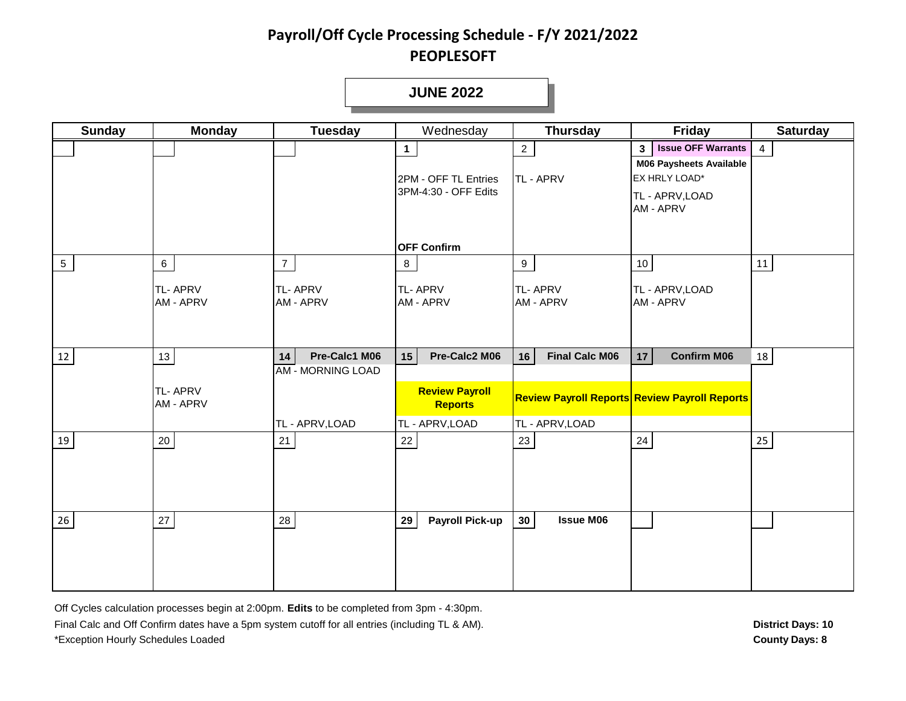**JUNE 2022**

| <b>Sunday</b>   | <b>Monday</b>               | <b>Tuesday</b>                              | Wednesday                                                    | <b>Thursday</b>                     | <b>Friday</b>                                                                                                                  | <b>Saturday</b> |
|-----------------|-----------------------------|---------------------------------------------|--------------------------------------------------------------|-------------------------------------|--------------------------------------------------------------------------------------------------------------------------------|-----------------|
|                 |                             |                                             | $\mathbf{1}$<br>2PM - OFF TL Entries<br>3PM-4:30 - OFF Edits | $\overline{2}$<br>TL - APRV         | <b>Issue OFF Warrants</b><br>3 <sup>1</sup><br><b>M06 Paysheets Available</b><br>EX HRLY LOAD*<br>TL - APRV, LOAD<br>AM - APRV | $\overline{4}$  |
|                 |                             |                                             | <b>OFF Confirm</b>                                           |                                     |                                                                                                                                |                 |
| $5\phantom{.0}$ | $6\overline{6}$             | $\overline{7}$                              | 8                                                            | 9                                   | 10 <sub>1</sub>                                                                                                                | 11              |
|                 | <b>TL-APRV</b><br>AM - APRV | TL-APRV<br>AM - APRV                        | <b>TL-APRV</b><br>AM - APRV                                  | <b>TL-APRV</b><br><b>AM - APRV</b>  | TL - APRV, LOAD<br>AM - APRV                                                                                                   |                 |
| 12              | 13                          | Pre-Calc1 M06<br>14                         | Pre-Calc2 M06<br>15                                          | <b>Final Calc M06</b><br>16         | <b>Confirm M06</b><br>17                                                                                                       | 18              |
|                 | <b>TL-APRV</b><br>AM - APRV | <b>AM - MORNING LOAD</b><br>TL - APRV, LOAD | <b>Review Payroll</b><br><b>Reports</b><br>TL - APRV, LOAD   | TL - APRV, LOAD                     | <b>Review Payroll Reports Review Payroll Reports</b>                                                                           |                 |
| 19              | 20                          | 21                                          | 22                                                           | 23                                  | 24                                                                                                                             | 25 <sub>1</sub> |
| 26              | $27\,$                      | 28                                          | <b>Payroll Pick-up</b><br>29                                 | <b>Issue M06</b><br>30 <sup>°</sup> |                                                                                                                                |                 |

Off Cycles calculation processes begin at 2:00pm. **Edits** to be completed from 3pm - 4:30pm. Final Calc and Off Confirm dates have a 5pm system cutoff for all entries (including TL & AM).

\*Exception Hourly Schedules Loaded **County Days: 8**